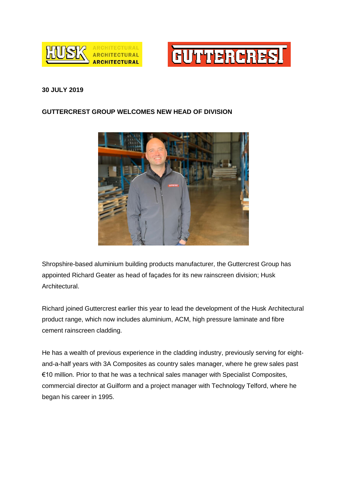



## **30 JULY 2019**

## **GUTTERCREST GROUP WELCOMES NEW HEAD OF DIVISION**



Shropshire-based aluminium building products manufacturer, the Guttercrest Group has appointed Richard Geater as head of façades for its new rainscreen division; Husk Architectural.

Richard joined Guttercrest earlier this year to lead the development of the Husk Architectural product range, which now includes aluminium, ACM, high pressure laminate and fibre cement rainscreen cladding.

He has a wealth of previous experience in the cladding industry, previously serving for eightand-a-half years with 3A Composites as country sales manager, where he grew sales past €10 million. Prior to that he was a technical sales manager with Specialist Composites, commercial director at Guilform and a project manager with Technology Telford, where he began his career in 1995.